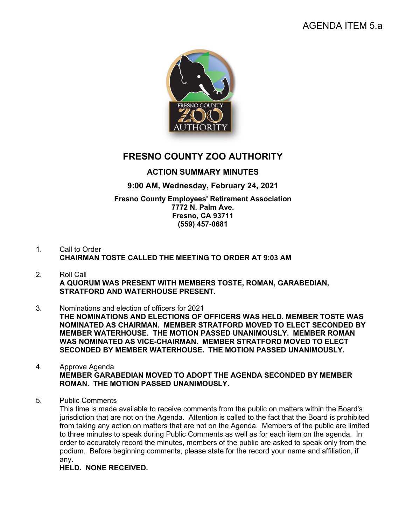# AGENDA ITEM 5.a



# **FRESNO COUNTY ZOO AUTHORITY**

## **ACTION SUMMARY MINUTES**

## **9:00 AM, Wednesday, February 24, 2021**

#### **Fresno County Employees' Retirement Association 7772 N. Palm Ave. Fresno, CA 93711 (559) 457-0681**

- 1. Call to Order **CHAIRMAN TOSTE CALLED THE MEETING TO ORDER AT 9:03 AM**
- 2. Roll Call **A QUORUM WAS PRESENT WITH MEMBERS TOSTE, ROMAN, GARABEDIAN, STRATFORD AND WATERHOUSE PRESENT.**
- 3. Nominations and election of officers for 2021 **THE NOMINATIONS AND ELECTIONS OF OFFICERS WAS HELD. MEMBER TOSTE WAS NOMINATED AS CHAIRMAN. MEMBER STRATFORD MOVED TO ELECT SECONDED BY MEMBER WATERHOUSE. THE MOTION PASSED UNANIMOUSLY. MEMBER ROMAN WAS NOMINATED AS VICE-CHAIRMAN. MEMBER STRATFORD MOVED TO ELECT SECONDED BY MEMBER WATERHOUSE. THE MOTION PASSED UNANIMOUSLY.**
- 4. Approve Agenda **MEMBER GARABEDIAN MOVED TO ADOPT THE AGENDA SECONDED BY MEMBER ROMAN. THE MOTION PASSED UNANIMOUSLY.**
- 5. Public Comments

This time is made available to receive comments from the public on matters within the Board's jurisdiction that are not on the Agenda. Attention is called to the fact that the Board is prohibited from taking any action on matters that are not on the Agenda. Members of the public are limited to three minutes to speak during Public Comments as well as for each item on the agenda. In order to accurately record the minutes, members of the public are asked to speak only from the podium. Before beginning comments, please state for the record your name and affiliation, if any.

**HELD. NONE RECEIVED.**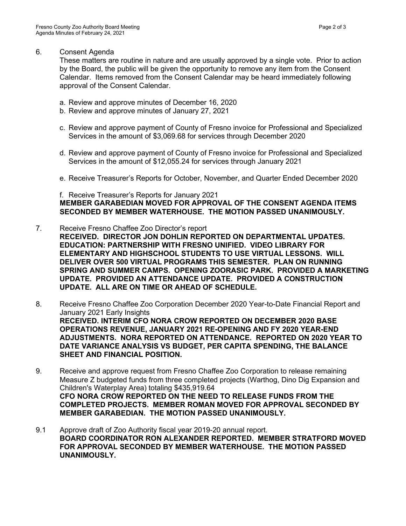#### 6. Consent Agenda

These matters are routine in nature and are usually approved by a single vote. Prior to action by the Board, the public will be given the opportunity to remove any item from the Consent Calendar. Items removed from the Consent Calendar may be heard immediately following approval of the Consent Calendar.

- a. Review and approve minutes of December 16, 2020
- b. Review and approve minutes of January 27, 2021
- c. Review and approve payment of County of Fresno invoice for Professional and Specialized Services in the amount of \$3,069.68 for services through December 2020
- d. Review and approve payment of County of Fresno invoice for Professional and Specialized Services in the amount of \$12,055.24 for services through January 2021
- e. Receive Treasurer's Reports for October, November, and Quarter Ended December 2020

### f. Receive Treasurer's Reports for January 2021 **MEMBER GARABEDIAN MOVED FOR APPROVAL OF THE CONSENT AGENDA ITEMS SECONDED BY MEMBER WATERHOUSE. THE MOTION PASSED UNANIMOUSLY.**

- 7. Receive Fresno Chaffee Zoo Director's report **RECEIVED. DIRECTOR JON DOHLIN REPORTED ON DEPARTMENTAL UPDATES. EDUCATION: PARTNERSHIP WITH FRESNO UNIFIED. VIDEO LIBRARY FOR ELEMENTARY AND HIGHSCHOOL STUDENTS TO USE VIRTUAL LESSONS. WILL DELIVER OVER 500 VIRTUAL PROGRAMS THIS SEMESTER. PLAN ON RUNNING SPRING AND SUMMER CAMPS. OPENING ZOORASIC PARK. PROVIDED A MARKETING UPDATE. PROVIDED AN ATTENDANCE UPDATE. PROVIDED A CONSTRUCTION UPDATE. ALL ARE ON TIME OR AHEAD OF SCHEDULE.**
- 8. Receive Fresno Chaffee Zoo Corporation December 2020 Year-to-Date Financial Report and January 2021 Early Insights **RECEIVED. INTERIM CFO NORA CROW REPORTED ON DECEMBER 2020 BASE OPERATIONS REVENUE, JANUARY 2021 RE-OPENING AND FY 2020 YEAR-END ADJUSTMENTS. NORA REPORTED ON ATTENDANCE. REPORTED ON 2020 YEAR TO DATE VARIANCE ANALYSIS VS BUDGET, PER CAPITA SPENDING, THE BALANCE SHEET AND FINANCIAL POSITION.**
- 9. Receive and approve request from Fresno Chaffee Zoo Corporation to release remaining Measure Z budgeted funds from three completed projects (Warthog, Dino Dig Expansion and Children's Waterplay Area) totaling \$435,919.64 **CFO NORA CROW REPORTED ON THE NEED TO RELEASE FUNDS FROM THE COMPLETED PROJECTS. MEMBER ROMAN MOVED FOR APPROVAL SECONDED BY MEMBER GARABEDIAN. THE MOTION PASSED UNANIMOUSLY.**
- 9.1 Approve draft of Zoo Authority fiscal year 2019-20 annual report. **BOARD COORDINATOR RON ALEXANDER REPORTED. MEMBER STRATFORD MOVED FOR APPROVAL SECONDED BY MEMBER WATERHOUSE. THE MOTION PASSED UNANIMOUSLY.**